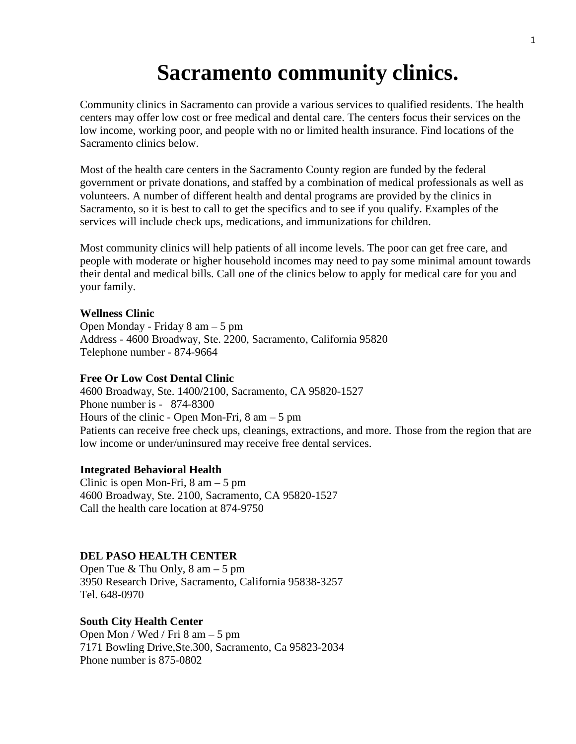# **Sacramento community clinics.**

Community clinics in Sacramento can provide a various services to qualified residents. The health centers may offer low cost or free medical and dental care. The centers focus their services on the low income, working poor, and people with no or limited health insurance. Find locations of the Sacramento clinics below.

Most of the health care centers in the Sacramento County region are funded by the federal government or private donations, and staffed by a combination of medical professionals as well as volunteers. A number of different health and dental programs are provided by the clinics in Sacramento, so it is best to call to get the specifics and to see if you qualify. Examples of the services will include check ups, medications, and immunizations for children.

Most community clinics will help patients of all income levels. The poor can get free care, and people with moderate or higher household incomes may need to pay some minimal amount towards their dental and medical bills. Call one of the clinics below to apply for medical care for you and your family.

# **Wellness Clinic**

Open Monday - Friday 8 am – 5 pm Address - 4600 Broadway, Ste. 2200, Sacramento, California 95820 Telephone number - 874-9664

# **Free Or Low Cost Dental Clinic**

4600 Broadway, Ste. 1400/2100, Sacramento, CA 95820-1527 Phone number is - 874-8300 Hours of the clinic - Open Mon-Fri, 8 am – 5 pm Patients can receive free check ups, cleanings, extractions, and more. Those from the region that are low income or under/uninsured may receive free dental services.

# **Integrated Behavioral Health**

Clinic is open Mon-Fri, 8 am – 5 pm 4600 Broadway, Ste. 2100, Sacramento, CA 95820-1527 Call the health care location at 874-9750

# **DEL PASO HEALTH CENTER**

Open Tue & Thu Only, 8 am – 5 pm 3950 Research Drive, Sacramento, California 95838-3257 Tel. 648-0970

## **South City Health Center**

Open Mon / Wed / Fri 8 am – 5 pm 7171 Bowling Drive,Ste.300, Sacramento, Ca 95823-2034 Phone number is 875-0802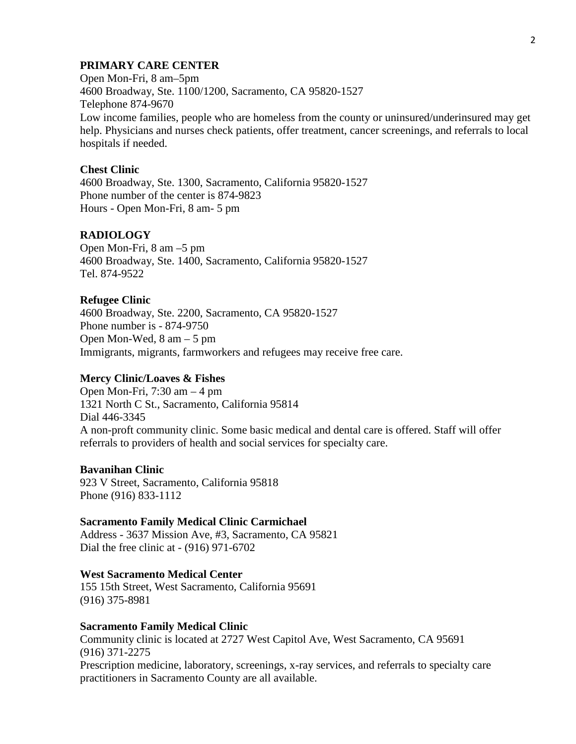# **PRIMARY CARE CENTER**

Open Mon-Fri, 8 am–5pm 4600 Broadway, Ste. 1100/1200, Sacramento, CA 95820-1527 Telephone 874-9670 Low income families, people who are homeless from the county or uninsured/underinsured may get help. Physicians and nurses check patients, offer treatment, cancer screenings, and referrals to local hospitals if needed.

# **Chest Clinic**

4600 Broadway, Ste. 1300, Sacramento, California 95820-1527 Phone number of the center is 874-9823 Hours - Open Mon-Fri, 8 am- 5 pm

# **RADIOLOGY**

Open Mon-Fri, 8 am –5 pm 4600 Broadway, Ste. 1400, Sacramento, California 95820-1527 Tel. 874-9522

#### **Refugee Clinic**

4600 Broadway, Ste. 2200, Sacramento, CA 95820-1527 Phone number is - 874-9750 Open Mon-Wed, 8 am – 5 pm Immigrants, migrants, farmworkers and refugees may receive free care.

## **Mercy Clinic/Loaves & Fishes**

Open Mon-Fri, 7:30 am – 4 pm 1321 North C St., Sacramento, California 95814 Dial 446-3345 A non-proft community clinic. Some basic medical and dental care is offered. Staff will offer referrals to providers of health and social services for specialty care.

#### **Bavanihan Clinic**

923 V Street, Sacramento, California 95818 Phone (916) 833-1112

#### **Sacramento Family Medical Clinic Carmichael**

Address - 3637 Mission Ave, #3, Sacramento, CA 95821 Dial the free clinic at - (916) 971-6702

#### **West Sacramento Medical Center**

155 15th Street, West Sacramento, California 95691 (916) 375-8981

#### **Sacramento Family Medical Clinic**

Community clinic is located at 2727 West Capitol Ave, West Sacramento, CA 95691 (916) 371-2275 Prescription medicine, laboratory, screenings, x-ray services, and referrals to specialty care practitioners in Sacramento County are all available.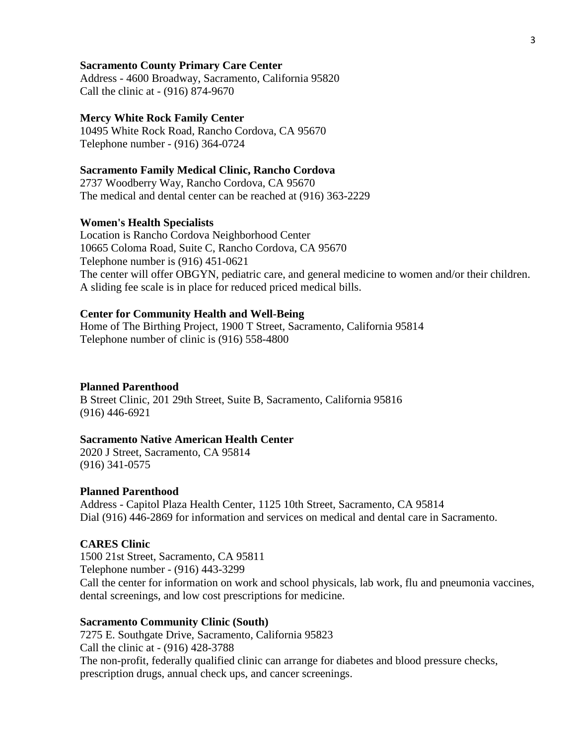#### **Sacramento County Primary Care Center**

Address - 4600 Broadway, Sacramento, California 95820 Call the clinic at - (916) 874-9670

#### **Mercy White Rock Family Center**

10495 White Rock Road, Rancho Cordova, CA 95670 Telephone number - (916) 364-0724

## **Sacramento Family Medical Clinic, Rancho Cordova**

2737 Woodberry Way, Rancho Cordova, CA 95670 The medical and dental center can be reached at (916) 363-2229

#### **Women's Health Specialists**

Location is Rancho Cordova Neighborhood Center 10665 Coloma Road, Suite C, Rancho Cordova, CA 95670 Telephone number is (916) 451-0621 The center will offer OBGYN, pediatric care, and general medicine to women and/or their children. A sliding fee scale is in place for reduced priced medical bills.

#### **Center for Community Health and Well-Being**

Home of The Birthing Project, 1900 T Street, Sacramento, California 95814 Telephone number of clinic is (916) 558-4800

#### **Planned Parenthood**

B Street Clinic, 201 29th Street, Suite B, Sacramento, California 95816 (916) 446-6921

#### **Sacramento Native American Health Center**

2020 J Street, Sacramento, CA 95814 (916) 341-0575

#### **Planned Parenthood**

Address - Capitol Plaza Health Center, 1125 10th Street, Sacramento, CA 95814 Dial (916) 446-2869 for information and services on medical and dental care in Sacramento.

# **CARES Clinic**

1500 21st Street, Sacramento, CA 95811 Telephone number - (916) 443-3299 Call the center for information on work and school physicals, lab work, flu and pneumonia vaccines, dental screenings, and low cost prescriptions for medicine.

## **Sacramento Community Clinic (South)**

7275 E. Southgate Drive, Sacramento, California 95823 Call the clinic at - (916) 428-3788 The non-profit, federally qualified clinic can arrange for diabetes and blood pressure checks, prescription drugs, annual check ups, and cancer screenings.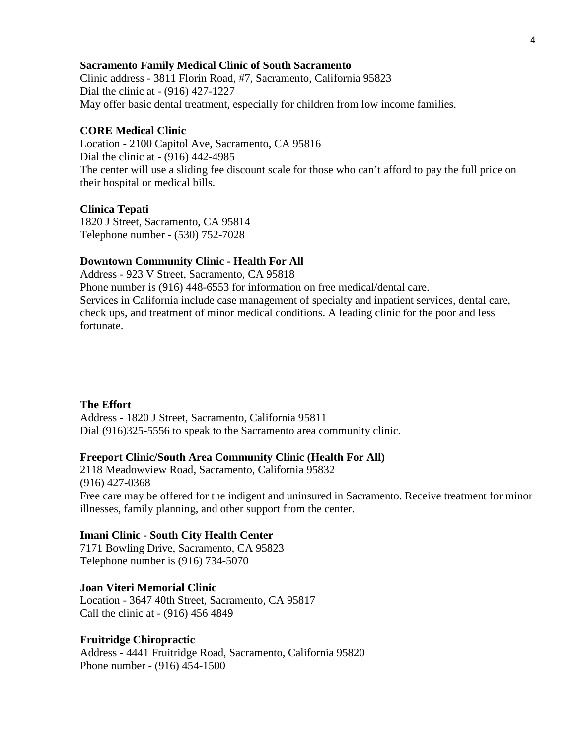#### **Sacramento Family Medical Clinic of South Sacramento**

Clinic address - 3811 Florin Road, #7, Sacramento, California 95823 Dial the clinic at - (916) 427-1227 May offer basic dental treatment, especially for children from low income families.

#### **CORE Medical Clinic**

Location - 2100 Capitol Ave, Sacramento, CA 95816 Dial the clinic at - (916) 442-4985 The center will use a sliding fee discount scale for those who can't afford to pay the full price on their hospital or medical bills.

#### **Clinica Tepati**

1820 J Street, Sacramento, CA 95814 Telephone number - (530) 752-7028

#### **Downtown Community Clinic - Health For All**

Address - 923 V Street, Sacramento, CA 95818

Phone number is (916) 448-6553 for information on free medical/dental care. Services in California include case management of specialty and inpatient services, dental care, check ups, and treatment of minor medical conditions. A leading clinic for the poor and less fortunate.

#### **The Effort**

Address - 1820 J Street, Sacramento, California 95811 Dial (916)325-5556 to speak to the Sacramento area community clinic.

#### **Freeport Clinic/South Area Community Clinic (Health For All)**

2118 Meadowview Road, Sacramento, California 95832 (916) 427-0368 Free care may be offered for the indigent and uninsured in Sacramento. Receive treatment for minor illnesses, family planning, and other support from the center.

#### **Imani Clinic - South City Health Center**

7171 Bowling Drive, Sacramento, CA 95823 Telephone number is (916) 734-5070

#### **Joan Viteri Memorial Clinic**

Location - 3647 40th Street, Sacramento, CA 95817 Call the clinic at - (916) 456 4849

# **Fruitridge Chiropractic**

Address - 4441 Fruitridge Road, Sacramento, California 95820 Phone number - (916) 454-1500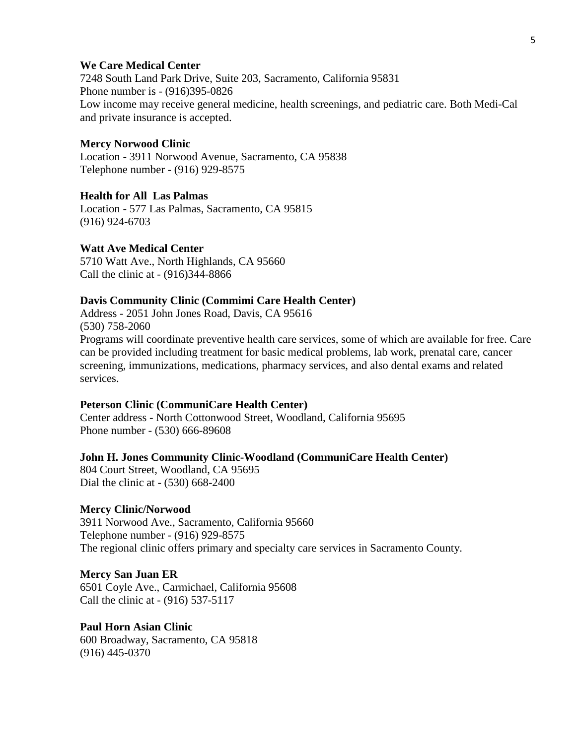#### **We Care Medical Center**

7248 South Land Park Drive, Suite 203, Sacramento, California 95831 Phone number is - (916)395-0826 Low income may receive general medicine, health screenings, and pediatric care. Both Medi-Cal and private insurance is accepted.

#### **Mercy Norwood Clinic**

Location - 3911 Norwood Avenue, Sacramento, CA 95838 Telephone number - (916) 929-8575

# **Health for All Las Palmas**

Location - 577 Las Palmas, Sacramento, CA 95815 (916) 924-6703

#### **Watt Ave Medical Center**

5710 Watt Ave., North Highlands, CA 95660 Call the clinic at - (916)344-8866

#### **Davis Community Clinic (Commimi Care Health Center)**

Address - 2051 John Jones Road, Davis, CA 95616 (530) 758-2060 Programs will coordinate preventive health care services, some of which are available for free. Care can be provided including treatment for basic medical problems, lab work, prenatal care, cancer screening, immunizations, medications, pharmacy services, and also dental exams and related services.

# **Peterson Clinic (CommuniCare Health Center)**

Center address - North Cottonwood Street, Woodland, California 95695 Phone number - (530) 666-89608

## **John H. Jones Community Clinic-Woodland (CommuniCare Health Center)**

804 Court Street, Woodland, CA 95695 Dial the clinic at - (530) 668-2400

#### **Mercy Clinic/Norwood**

3911 Norwood Ave., Sacramento, California 95660 Telephone number - (916) 929-8575 The regional clinic offers primary and specialty care services in Sacramento County.

#### **Mercy San Juan ER**

6501 Coyle Ave., Carmichael, California 95608 Call the clinic at - (916) 537-5117

# **Paul Horn Asian Clinic**

600 Broadway, Sacramento, CA 95818 (916) 445-0370